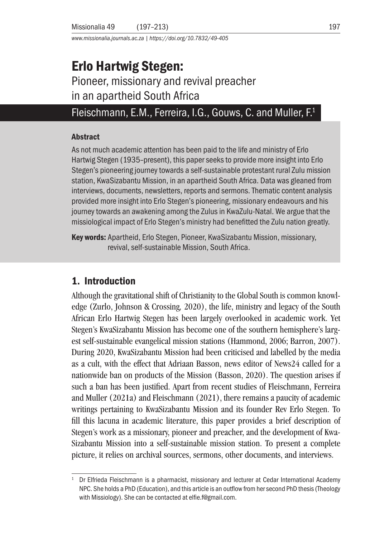*www.missionalia.journals.ac.za | https://doi.org/10.7832/49-405*

# Erlo Hartwig Stegen:

Pioneer, missionary and revival preacher in an apartheid South Africa

# Fleischmann, E.M., Ferreira, I.G., Gouws, C. and Muller, F.1

#### Abstract

As not much academic attention has been paid to the life and ministry of Erlo Hartwig Stegen (1935–present), this paper seeks to provide more insight into Erlo Stegen's pioneering journey towards a self-sustainable protestant rural Zulu mission station, KwaSizabantu Mission, in an apartheid South Africa. Data was gleaned from interviews, documents, newsletters, reports and sermons. Thematic content analysis provided more insight into Erlo Stegen's pioneering, missionary endeavours and his journey towards an awakening among the Zulus in KwaZulu-Natal. We argue that the missiological impact of Erlo Stegen's ministry had benefitted the Zulu nation greatly.

Key words: Apartheid, Erlo Stegen, Pioneer, KwaSizabantu Mission, missionary, revival, self-sustainable Mission, South Africa.

# 1. Introduction

Although the gravitational shift of Christianity to the Global South is common knowledge (Zurlo, Johnson & Crossing*,* 2020), the life, ministry and legacy of the South African Erlo Hartwig Stegen has been largely overlooked in academic work. Yet Stegen's KwaSizabantu Mission has become one of the southern hemisphere's largest self-sustainable evangelical mission stations (Hammond, 2006; Barron, 2007). During 2020, KwaSizabantu Mission had been criticised and labelled by the media as a cult, with the effect that Adriaan Basson, news editor of News24 called for a nationwide ban on products of the Mission (Basson, 2020). The question arises if such a ban has been justified. Apart from recent studies of Fleischmann, Ferreira and Muller (2021a) and Fleischmann (2021), there remains a paucity of academic writings pertaining to KwaSizabantu Mission and its founder Rev Erlo Stegen. To fill this lacuna in academic literature, this paper provides a brief description of Stegen's work as a missionary, pioneer and preacher, and the development of Kwa-Sizabantu Mission into a self-sustainable mission station. To present a complete picture, it relies on archival sources, sermons, other documents, and interviews.

Dr Elfrieda Fleischmann is a pharmacist, missionary and lecturer at Cedar International Academy NPC. She holds a PhD (Education), and this article is an outflow from her second PhD thesis (Theology with Missiology). She can be contacted at elfie.f@gmail.com.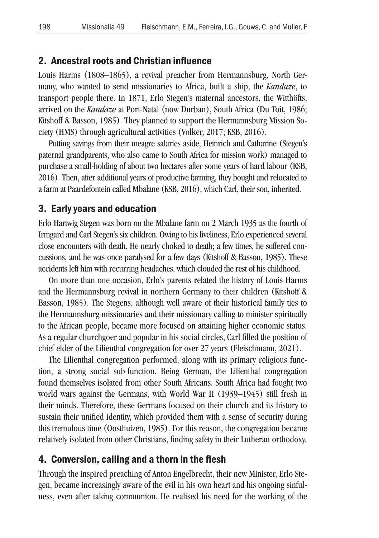#### 2. Ancestral roots and Christian influence

Louis Harms (1808–1865), a revival preacher from Hermannsburg, North Germany, who wanted to send missionaries to Africa, built a ship, the *Kandaze*, to transport people there. In 1871, Erlo Stegen's maternal ancestors, the Witthöfts, arrived on the *Kandaze* at Port-Natal (now Durban), South Africa (Du Toit, 1986; Kitshoff & Basson, 1985). They planned to support the Hermannsburg Mission Society (HMS) through agricultural activities (Volker, 2017; KSB, 2016).

Putting savings from their meagre salaries aside, Heinrich and Catharine (Stegen's paternal grandparents, who also came to South Africa for mission work) managed to purchase a small-holding of about two hectares after some years of hard labour (KSB, 2016). Then, after additional years of productive farming, they bought and relocated to a farm at Paardefontein called Mbalane (KSB, 2016), which Carl, their son, inherited.

#### 3. Early years and education

Erlo Hartwig Stegen was born on the Mbalane farm on 2 March 1935 as the fourth of Irmgard and Carl Stegen's six children. Owing to his liveliness, Erlo experienced several close encounters with death. He nearly choked to death; a few times, he suffered concussions, and he was once paralysed for a few days (Kitshoff & Basson, 1985). These accidents left him with recurring headaches, which clouded the rest of his childhood.

On more than one occasion, Erlo's parents related the history of Louis Harms and the Hermannsburg revival in northern Germany to their children (Kitshoff & Basson, 1985). The Stegens, although well aware of their historical family ties to the Hermannsburg missionaries and their missionary calling to minister spiritually to the African people, became more focused on attaining higher economic status. As a regular churchgoer and popular in his social circles, Carl filled the position of chief elder of the Lilienthal congregation for over 27 years (Fleischmann, 2021).

The Lilienthal congregation performed, along with its primary religious function, a strong social sub-function. Being German, the Lilienthal congregation found themselves isolated from other South Africans. South Africa had fought two world wars against the Germans, with World War II (1939–1945) still fresh in their minds. Therefore, these Germans focused on their church and its history to sustain their unified identity, which provided them with a sense of security during this tremulous time (Oosthuizen, 1985). For this reason, the congregation became relatively isolated from other Christians, finding safety in their Lutheran orthodoxy.

#### 4. Conversion, calling and a thorn in the flesh

Through the inspired preaching of Anton Engelbrecht, their new Minister, Erlo Stegen, became increasingly aware of the evil in his own heart and his ongoing sinfulness, even after taking communion. He realised his need for the working of the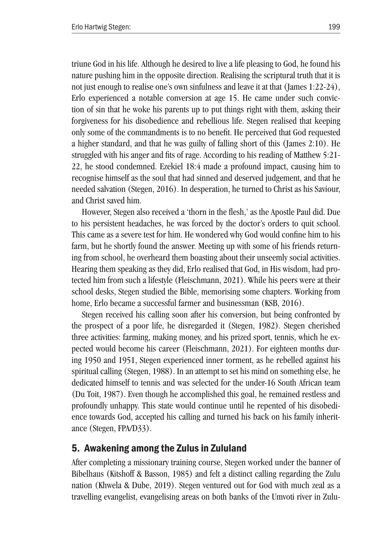triune God in his life. Although he desired to live a life pleasing to God, he found his nature pushing him in the opposite direction. Realising the scriptural truth that it is not just enough to realise one's own sinfulness and leave it at that (James  $1:22-24$ ), Erlo experienced a notable conversion at age 15. He came under such conviction of sin that he woke his parents up to put things right with them, asking their forgiveness for his disobedience and rebellious life. Stegen realised that keeping only some of the commandments is to no benefit. He perceived that God requested a higher standard, and that he was guilty of falling short of this (James 2:10). He struggled with his anger and fits of rage. According to his reading of Matthew 5:21- 22, he stood condemned. Ezekiel 18:4 made a profound impact, causing him to recognise himself as the soul that had sinned and deserved judgement, and that he needed salvation (Stegen, 2016). In desperation, he turned to Christ as his Saviour, and Christ saved him.

However, Stegen also received a 'thorn in the flesh,' as the Apostle Paul did. Due to his persistent headaches, he was forced by the doctor's orders to quit school. This came as a severe test for him. He wondered why God would confine him to his farm, but he shortly found the answer. Meeting up with some of his friends returning from school, he overheard them boasting about their unseemly social activities. Hearing them speaking as they did, Erlo realised that God, in His wisdom, had protected him from such a lifestyle (Fleischmann, 2021). While his peers were at their school desks, Stegen studied the Bible, memorising some chapters. Working from home, Erlo became a successful farmer and businessman (KSB, 2016).

Stegen received his calling soon after his conversion, but being confronted by the prospect of a poor life, he disregarded it (Stegen, 1982). Stegen cherished three activities: farming, making money, and his prized sport, tennis, which he expected would become his career (Fleischmann, 2021). For eighteen months during 1950 and 1951, Stegen experienced inner torment, as he rebelled against his spiritual calling (Stegen, 1988). In an attempt to set his mind on something else, he dedicated himself to tennis and was selected for the under-16 South African team (Du Toit, 1987). Even though he accomplished this goal, he remained restless and profoundly unhappy. This state would continue until he repented of his disobedience towards God, accepted his calling and turned his back on his family inheritance (Stegen, FPA/D33).

# 5. Awakening among the Zulus in Zululand

After completing a missionary training course, Stegen worked under the banner of Bibelhaus (Kitshoff & Basson, 1985) and felt a distinct calling regarding the Zulu nation (Khwela & Dube, 2019). Stegen ventured out for God with much zeal as a travelling evangelist, evangelising areas on both banks of the Umvoti river in Zulu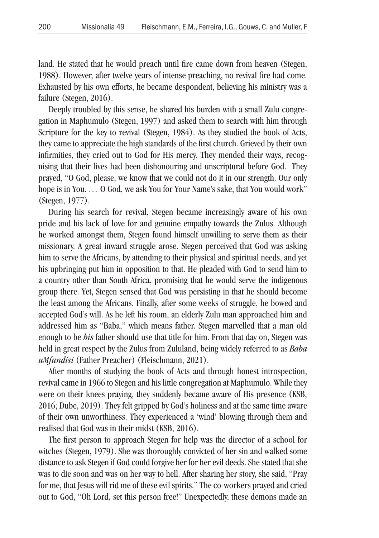land. He stated that he would preach until fire came down from heaven (Stegen, 1988). However, after twelve years of intense preaching, no revival fire had come. Exhausted by his own efforts, he became despondent, believing his ministry was a failure (Stegen, 2016).

Deeply troubled by this sense, he shared his burden with a small Zulu congregation in Maphumulo (Stegen, 1997) and asked them to search with him through Scripture for the key to revival (Stegen, 1984). As they studied the book of Acts, they came to appreciate the high standards of the first church. Grieved by their own infirmities, they cried out to God for His mercy. They mended their ways, recognising that their lives had been dishonouring and unscriptural before God. They prayed, "O God, please, we know that we could not do it in our strength. Our only hope is in You. *…* O God, we ask You for Your Name's sake, that You would work" (Stegen, 1977).

During his search for revival, Stegen became increasingly aware of his own pride and his lack of love for and genuine empathy towards the Zulus. Although he worked amongst them, Stegen found himself unwilling to serve them as their missionary. A great inward struggle arose. Stegen perceived that God was asking him to serve the Africans, by attending to their physical and spiritual needs, and yet his upbringing put him in opposition to that. He pleaded with God to send him to a country other than South Africa, promising that he would serve the indigenous group there. Yet, Stegen sensed that God was persisting in that he should become the least among the Africans. Finally, after some weeks of struggle, he bowed and accepted God's will. As he left his room, an elderly Zulu man approached him and addressed him as "Baba," which means father. Stegen marvelled that a man old enough to be *his* father should use that title for him. From that day on, Stegen was held in great respect by the Zulus from Zululand, being widely referred to as *Baba uMfundisi* (Father Preacher) (Fleischmann, 2021).

After months of studying the book of Acts and through honest introspection, revival came in 1966 to Stegen and his little congregation at Maphumulo. While they were on their knees praying, they suddenly became aware of His presence (KSB, 2016; Dube, 2019). They felt gripped by God's holiness and at the same time aware of their own unworthiness. They experienced a 'wind' blowing through them and realised that God was in their midst (KSB, 2016).

The first person to approach Stegen for help was the director of a school for witches (Stegen, 1979). She was thoroughly convicted of her sin and walked some distance to ask Stegen if God could forgive her for her evil deeds. She stated that she was to die soon and was on her way to hell. After sharing her story, she said, "Pray for me, that Jesus will rid me of these evil spirits." The co-workers prayed and cried out to God, "Oh Lord, set this person free!" Unexpectedly, these demons made an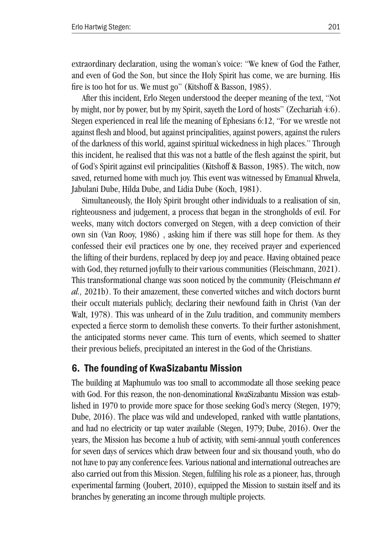extraordinary declaration, using the woman's voice: "We knew of God the Father, and even of God the Son, but since the Holy Spirit has come, we are burning. His fire is too hot for us. We must go" (Kitshoff & Basson, 1985).

After this incident, Erlo Stegen understood the deeper meaning of the text, "Not by might, nor by power, but by my Spirit, sayeth the Lord of hosts" (Zechariah 4:6). Stegen experienced in real life the meaning of Ephesians 6:12, "For we wrestle not against flesh and blood, but against principalities, against powers, against the rulers of the darkness of this world, against spiritual wickedness in high places." Through this incident, he realised that this was not a battle of the flesh against the spirit, but of God's Spirit against evil principalities (Kitshoff & Basson, 1985). The witch, now saved, returned home with much joy. This event was witnessed by Emanual Khwela, Jabulani Dube, Hilda Dube, and Lidia Dube (Koch, 1981).

Simultaneously, the Holy Spirit brought other individuals to a realisation of sin, righteousness and judgement, a process that began in the strongholds of evil. For weeks, many witch doctors converged on Stegen, with a deep conviction of their own sin (Van Rooy, 1986) , asking him if there was still hope for them. As they confessed their evil practices one by one, they received prayer and experienced the lifting of their burdens, replaced by deep joy and peace. Having obtained peace with God, they returned joyfully to their various communities (Fleischmann, 2021). This transformational change was soon noticed by the community (Fleischmann *et al.,* 2021b). To their amazement, these converted witches and witch doctors burnt their occult materials publicly, declaring their newfound faith in Christ (Van der Walt, 1978). This was unheard of in the Zulu tradition, and community members expected a fierce storm to demolish these converts. To their further astonishment, the anticipated storms never came. This turn of events, which seemed to shatter their previous beliefs, precipitated an interest in the God of the Christians.

# 6. The founding of KwaSizabantu Mission

The building at Maphumulo was too small to accommodate all those seeking peace with God. For this reason, the non-denominational KwaSizabantu Mission was established in 1970 to provide more space for those seeking God's mercy (Stegen, 1979; Dube, 2016). The place was wild and undeveloped, ranked with wattle plantations, and had no electricity or tap water available (Stegen, 1979; Dube, 2016). Over the years, the Mission has become a hub of activity, with semi-annual youth conferences for seven days of services which draw between four and six thousand youth, who do not have to pay any conference fees. Various national and international outreaches are also carried out from this Mission. Stegen, fulfiling his role as a pioneer, has, through experimental farming (Joubert, 2010), equipped the Mission to sustain itself and its branches by generating an income through multiple projects.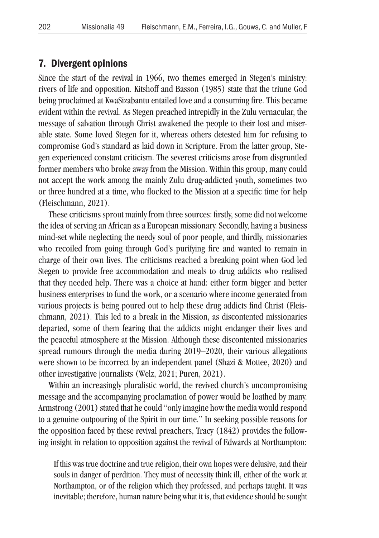#### 7. Divergent opinions

Since the start of the revival in 1966, two themes emerged in Stegen's ministry: rivers of life and opposition. Kitshoff and Basson (1985) state that the triune God being proclaimed at KwaSizabantu entailed love and a consuming fire. This became evident within the revival. As Stegen preached intrepidly in the Zulu vernacular, the message of salvation through Christ awakened the people to their lost and miserable state. Some loved Stegen for it, whereas others detested him for refusing to compromise God's standard as laid down in Scripture. From the latter group, Stegen experienced constant criticism. The severest criticisms arose from disgruntled former members who broke away from the Mission. Within this group, many could not accept the work among the mainly Zulu drug-addicted youth, sometimes two or three hundred at a time, who flocked to the Mission at a specific time for help (Fleischmann, 2021).

These criticisms sprout mainly from three sources: firstly, some did not welcome the idea of serving an African as a European missionary. Secondly, having a business mind-set while neglecting the needy soul of poor people, and thirdly, missionaries who recoiled from going through God's purifying fire and wanted to remain in charge of their own lives. The criticisms reached a breaking point when God led Stegen to provide free accommodation and meals to drug addicts who realised that they needed help. There was a choice at hand: either form bigger and better business enterprises to fund the work, or a scenario where income generated from various projects is being poured out to help these drug addicts find Christ (Fleischmann, 2021). This led to a break in the Mission, as discontented missionaries departed, some of them fearing that the addicts might endanger their lives and the peaceful atmosphere at the Mission. Although these discontented missionaries spread rumours through the media during 2019–2020, their various allegations were shown to be incorrect by an independent panel (Shazi & Mottee, 2020) and other investigative journalists (Welz, 2021; Puren, 2021).

Within an increasingly pluralistic world, the revived church's uncompromising message and the accompanying proclamation of power would be loathed by many. Armstrong (2001) stated that he could "only imagine how the media would respond to a genuine outpouring of the Spirit in our time." In seeking possible reasons for the opposition faced by these revival preachers, Tracy (1842) provides the following insight in relation to opposition against the revival of Edwards at Northampton:

If this was true doctrine and true religion, their own hopes were delusive, and their souls in danger of perdition. They must of necessity think ill, either of the work at Northampton, or of the religion which they professed, and perhaps taught. It was inevitable; therefore, human nature being what it is, that evidence should be sought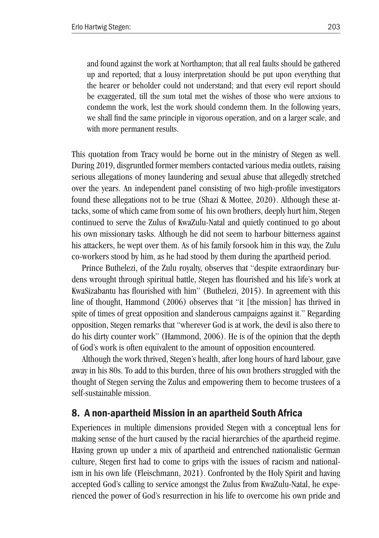and found against the work at Northampton; that all real faults should be gathered up and reported; that a lousy interpretation should be put upon everything that the hearer or beholder could not understand; and that every evil report should be exaggerated, till the sum total met the wishes of those who were anxious to condemn the work, lest the work should condemn them. In the following years, we shall find the same principle in vigorous operation, and on a larger scale, and with more permanent results.

This quotation from Tracy would be borne out in the ministry of Stegen as well. During 2019, disgruntled former members contacted various media outlets, raising serious allegations of money laundering and sexual abuse that allegedly stretched over the years. An independent panel consisting of two high-profile investigators found these allegations not to be true (Shazi & Mottee, 2020). Although these attacks, some of which came from some of his own brothers, deeply hurt him, Stegen continued to serve the Zulus of KwaZulu-Natal and quietly continued to go about his own missionary tasks. Although he did not seem to harbour bitterness against his attackers, he wept over them. As of his family forsook him in this way, the Zulu co-workers stood by him, as he had stood by them during the apartheid period.

Prince Buthelezi, of the Zulu royalty, observes that "despite extraordinary burdens wrought through spiritual battle, Stegen has flourished and his life's work at KwaSizabantu has flourished with him" (Buthelezi, 2015). In agreement with this line of thought, Hammond (2006) observes that "it [the mission] has thrived in spite of times of great opposition and slanderous campaigns against it." Regarding opposition, Stegen remarks that "wherever God is at work, the devil is also there to do his dirty counter work" (Hammond, 2006). He is of the opinion that the depth of God's work is often equivalent to the amount of opposition encountered.

Although the work thrived, Stegen's health, after long hours of hard labour, gave away in his 80s. To add to this burden, three of his own brothers struggled with the thought of Stegen serving the Zulus and empowering them to become trustees of a self-sustainable mission.

# 8. A non-apartheid Mission in an apartheid South Africa

Experiences in multiple dimensions provided Stegen with a conceptual lens for making sense of the hurt caused by the racial hierarchies of the apartheid regime. Having grown up under a mix of apartheid and entrenched nationalistic German culture, Stegen first had to come to grips with the issues of racism and nationalism in his own life (Fleischmann, 2021). Confronted by the Holy Spirit and having accepted God's calling to service amongst the Zulus from KwaZulu-Natal, he experienced the power of God's resurrection in his life to overcome his own pride and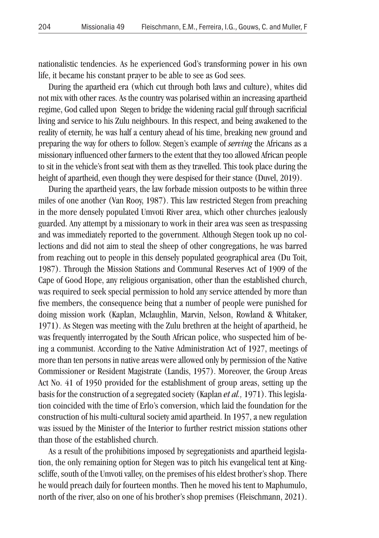nationalistic tendencies. As he experienced God's transforming power in his own life, it became his constant prayer to be able to see as God sees.

During the apartheid era (which cut through both laws and culture), whites did not mix with other races. As the country was polarised within an increasing apartheid regime, God called upon Stegen to bridge the widening racial gulf through sacrificial living and service to his Zulu neighbours. In this respect, and being awakened to the reality of eternity, he was half a century ahead of his time, breaking new ground and preparing the way for others to follow. Stegen's example of *serving* the Africans as a missionary influenced other farmers to the extent that they too allowed African people to sit in the vehicle's front seat with them as they travelled. This took place during the height of apartheid, even though they were despised for their stance (Duvel, 2019).

During the apartheid years, the law forbade mission outposts to be within three miles of one another (Van Rooy, 1987). This law restricted Stegen from preaching in the more densely populated Umvoti River area, which other churches jealously guarded. Any attempt by a missionary to work in their area was seen as trespassing and was immediately reported to the government. Although Stegen took up no collections and did not aim to steal the sheep of other congregations, he was barred from reaching out to people in this densely populated geographical area (Du Toit, 1987). Through the Mission Stations and Communal Reserves Act of 1909 of the Cape of Good Hope, any religious organisation, other than the established church, was required to seek special permission to hold any service attended by more than five members, the consequence being that a number of people were punished for doing mission work (Kaplan, Mclaughlin, Marvin, Nelson, Rowland & Whitaker, 1971). As Stegen was meeting with the Zulu brethren at the height of apartheid, he was frequently interrogated by the South African police, who suspected him of being a communist. According to the Native Administration Act of 1927, meetings of more than ten persons in native areas were allowed only by permission of the Native Commissioner or Resident Magistrate (Landis, 1957). Moreover, the Group Areas Act No. 41 of 1950 provided for the establishment of group areas, setting up the basis for the construction of a segregated society (Kaplan *et al.,* 1971). This legislation coincided with the time of Erlo's conversion, which laid the foundation for the construction of his multi-cultural society amid apartheid. In 1957, a new regulation was issued by the Minister of the Interior to further restrict mission stations other than those of the established church.

As a result of the prohibitions imposed by segregationists and apartheid legislation, the only remaining option for Stegen was to pitch his evangelical tent at Kingscliffe, south of the Umvoti valley, on the premises of his eldest brother's shop. There he would preach daily for fourteen months. Then he moved his tent to Maphumulo, north of the river, also on one of his brother's shop premises (Fleischmann, 2021).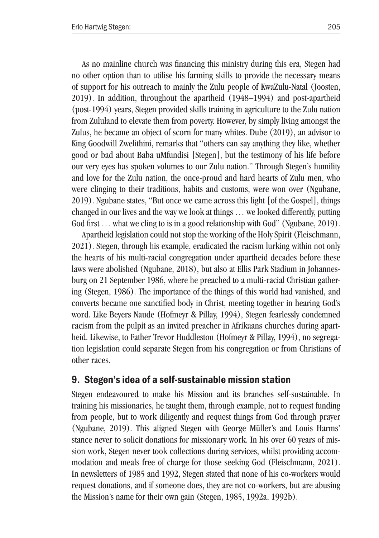As no mainline church was financing this ministry during this era, Stegen had no other option than to utilise his farming skills to provide the necessary means of support for his outreach to mainly the Zulu people of KwaZulu-Natal (Joosten, 2019). In addition, throughout the apartheid (1948–1994) and post-apartheid (post-1994) years, Stegen provided skills training in agriculture to the Zulu nation from Zululand to elevate them from poverty. However, by simply living amongst the Zulus, he became an object of scorn for many whites. Dube (2019), an advisor to King Goodwill Zwelithini, remarks that "others can say anything they like, whether good or bad about Baba uMfundisi [Stegen], but the testimony of his life before our very eyes has spoken volumes to our Zulu nation." Through Stegen's humility and love for the Zulu nation, the once-proud and hard hearts of Zulu men, who were clinging to their traditions, habits and customs, were won over (Ngubane, 2019). Ngubane states, "But once we came across this light [of the Gospel], things changed in our lives and the way we look at things … we looked differently, putting God first ... what we cling to is in a good relationship with God" (Ngubane, 2019).

Apartheid legislation could not stop the working of the Holy Spirit (Fleischmann, 2021). Stegen, through his example, eradicated the racism lurking within not only the hearts of his multi-racial congregation under apartheid decades before these laws were abolished (Ngubane, 2018), but also at Ellis Park Stadium in Johannesburg on 21 September 1986, where he preached to a multi-racial Christian gathering (Stegen, 1986). The importance of the things of this world had vanished, and converts became one sanctified body in Christ, meeting together in hearing God's word. Like Beyers Naude (Hofmeyr & Pillay, 1994), Stegen fearlessly condemned racism from the pulpit as an invited preacher in Afrikaans churches during apartheid. Likewise, to Father Trevor Huddleston (Hofmeyr & Pillay, 1994), no segregation legislation could separate Stegen from his congregation or from Christians of other races.

# 9. Stegen's idea of a self-sustainable mission station

Stegen endeavoured to make his Mission and its branches self-sustainable. In training his missionaries, he taught them, through example, not to request funding from people, but to work diligently and request things from God through prayer (Ngubane, 2019). This aligned Stegen with George Müller's and Louis Harms' stance never to solicit donations for missionary work. In his over 60 years of mission work, Stegen never took collections during services, whilst providing accommodation and meals free of charge for those seeking God (Fleischmann, 2021). In newsletters of 1985 and 1992, Stegen stated that none of his co-workers would request donations, and if someone does, they are not co-workers, but are abusing the Mission's name for their own gain (Stegen, 1985, 1992a, 1992b).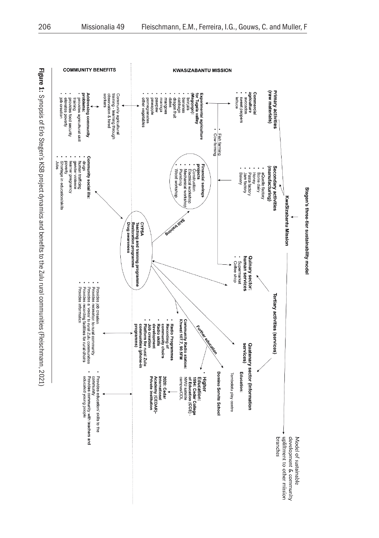

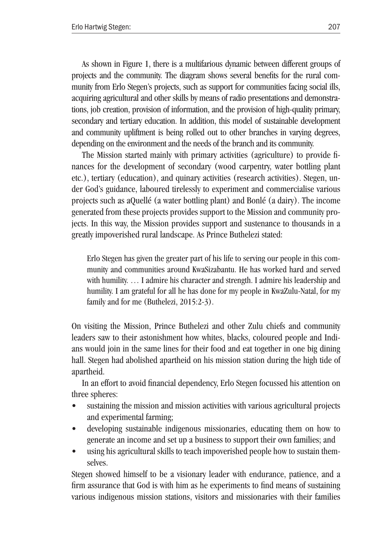As shown in Figure 1, there is a multifarious dynamic between different groups of projects and the community. The diagram shows several benefits for the rural community from Erlo Stegen's projects, such as support for communities facing social ills, acquiring agricultural and other skills by means of radio presentations and demonstrations, job creation, provision of information, and the provision of high-quality primary, secondary and tertiary education. In addition, this model of sustainable development and community upliftment is being rolled out to other branches in varying degrees, depending on the environment and the needs of the branch and its community.

The Mission started mainly with primary activities (agriculture) to provide finances for the development of secondary (wood carpentry, water bottling plant etc.), tertiary (education), and quinary activities (research activities). Stegen, under God's guidance, laboured tirelessly to experiment and commercialise various projects such as aQuellé (a water bottling plant) and Bonlé (a dairy). The income generated from these projects provides support to the Mission and community projects. In this way, the Mission provides support and sustenance to thousands in a greatly impoverished rural landscape. As Prince Buthelezi stated:

Erlo Stegen has given the greater part of his life to serving our people in this community and communities around KwaSizabantu. He has worked hard and served with humility. ... I admire his character and strength. I admire his leadership and humility. I am grateful for all he has done for my people in KwaZulu-Natal, for my family and for me (Buthelezi, 2015:2-3).

On visiting the Mission, Prince Buthelezi and other Zulu chiefs and community leaders saw to their astonishment how whites, blacks, coloured people and Indians would join in the same lines for their food and eat together in one big dining hall. Stegen had abolished apartheid on his mission station during the high tide of apartheid.

In an effort to avoid financial dependency, Erlo Stegen focussed his attention on three spheres:

- sustaining the mission and mission activities with various agricultural projects and experimental farming;
- developing sustainable indigenous missionaries, educating them on how to generate an income and set up a business to support their own families; and
- using his agricultural skills to teach impoverished people how to sustain themselves.

Stegen showed himself to be a visionary leader with endurance, patience, and a firm assurance that God is with him as he experiments to find means of sustaining various indigenous mission stations, visitors and missionaries with their families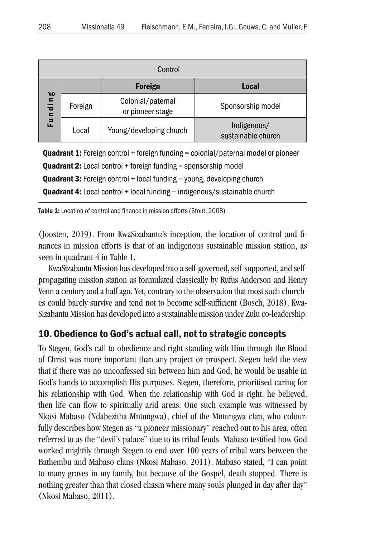| Control                                                                                                                |         |                                       |                                   |
|------------------------------------------------------------------------------------------------------------------------|---------|---------------------------------------|-----------------------------------|
| Ø0<br>$\blacksquare$<br>$\overline{\phantom{0}}$<br>$\overline{\phantom{a}}$<br>$\blacksquare$<br>$\blacksquare$<br>ш. |         | <b>Foreign</b>                        | Local                             |
|                                                                                                                        | Foreign | Colonial/paternal<br>or pioneer stage | Sponsorship model                 |
|                                                                                                                        | Local   | Young/developing church               | Indigenous/<br>sustainable church |

**Quadrant 1:** Foreign control + foreign funding = colonial/paternal model or pioneer **Quadrant 2:** Local control + foreign funding = sponsorship model **Quadrant 3:** Foreign control + local funding = young, developing church **Quadrant 4:** Local control + local funding = indigenous/sustainable church

Table 1: Location of control and finance in mission efforts (Stout, 2008)

(Joosten, 2019). From KwaSizabantu's inception, the location of control and finances in mission efforts is that of an indigenous sustainable mission station, as seen in quadrant 4 in Table 1.

KwaSizabantu Mission has developed into a self-governed, self-supported, and selfpropagating mission station as formulated classically by Rufus Anderson and Henry Venn a century and a half ago. Yet, contrary to the observation that most such churches could barely survive and tend not to become self-sufficient (Bosch, 2018), Kwa-Sizabantu Mission has developed into a sustainable mission under Zulu co-leadership.

# 10. Obedience to God's actual call, not to strategic concepts

To Stegen, God's call to obedience and right standing with Him through the Blood of Christ was more important than any project or prospect. Stegen held the view that if there was no unconfessed sin between him and God, he would be usable in God's hands to accomplish His purposes. Stegen, therefore, prioritised caring for his relationship with God. When the relationship with God is right, he believed, then life can flow to spiritually arid areas. One such example was witnessed by Nkosi Mabaso (Ndabezitha Mntungwa), chief of the Mntungwa clan, who colourfully describes how Stegen as "a pioneer missionary" reached out to his area, often referred to as the "devil's palace" due to its tribal feuds. Mabaso testified how God worked mightily through Stegen to end over 100 years of tribal wars between the Bathembu and Mabaso clans (Nkosi Mabaso, 2011). Mabaso stated, "I can point to many graves in my family, but because of the Gospel, death stopped. There is nothing greater than that closed chasm where many souls plunged in day after day" (Nkosi Mabaso, 2011).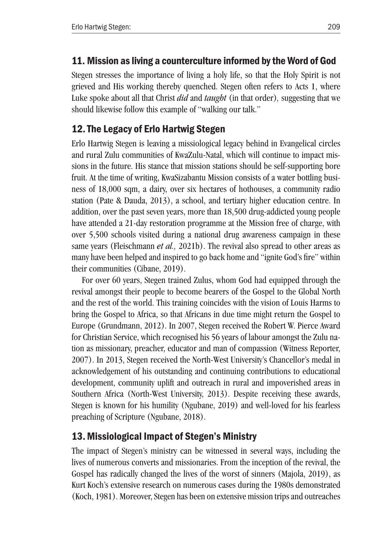# 11. Mission as living a counterculture informed by the Word of God

Stegen stresses the importance of living a holy life, so that the Holy Spirit is not grieved and His working thereby quenched. Stegen often refers to Acts 1, where Luke spoke about all that Christ *did* and *taught* (in that order)*,* suggesting that we should likewise follow this example of "walking our talk."

# 12.The Legacy of Erlo Hartwig Stegen

Erlo Hartwig Stegen is leaving a missiological legacy behind in Evangelical circles and rural Zulu communities of KwaZulu-Natal, which will continue to impact missions in the future. His stance that mission stations should be self-supporting bore fruit. At the time of writing, KwaSizabantu Mission consists of a water bottling business of 18,000 sqm, a dairy, over six hectares of hothouses, a community radio station (Pate & Dauda, 2013), a school, and tertiary higher education centre. In addition, over the past seven years, more than 18,500 drug-addicted young people have attended a 21-day restoration programme at the Mission free of charge, with over 5,500 schools visited during a national drug awareness campaign in these same years (Fleischmann *et al.,* 2021b). The revival also spread to other areas as many have been helped and inspired to go back home and "ignite God's fire" within their communities (Cibane, 2019).

For over 60 years, Stegen trained Zulus, whom God had equipped through the revival amongst their people to become bearers of the Gospel to the Global North and the rest of the world. This training coincides with the vision of Louis Harms to bring the Gospel to Africa, so that Africans in due time might return the Gospel to Europe (Grundmann, 2012). In 2007, Stegen received the Robert W. Pierce Award for Christian Service, which recognised his 56 years of labour amongst the Zulu nation as missionary, preacher, educator and man of compassion (Witness Reporter, 2007). In 2013, Stegen received the North-West University's Chancellor's medal in acknowledgement of his outstanding and continuing contributions to educational development, community uplift and outreach in rural and impoverished areas in Southern Africa (North-West University, 2013). Despite receiving these awards, Stegen is known for his humility (Ngubane, 2019) and well-loved for his fearless preaching of Scripture (Ngubane, 2018).

# 13.Missiological Impact of Stegen's Ministry

The impact of Stegen's ministry can be witnessed in several ways, including the lives of numerous converts and missionaries. From the inception of the revival, the Gospel has radically changed the lives of the worst of sinners (Majola, 2019), as Kurt Koch's extensive research on numerous cases during the 1980s demonstrated (Koch, 1981). Moreover, Stegen has been on extensive mission trips and outreaches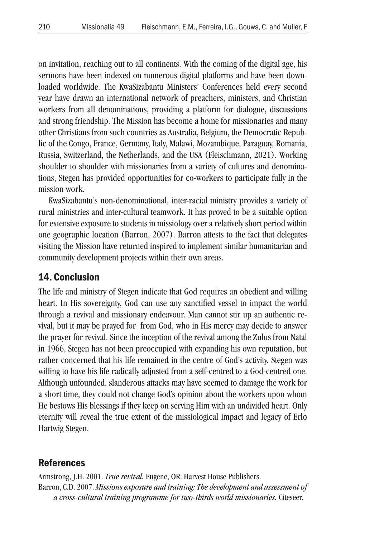on invitation, reaching out to all continents. With the coming of the digital age, his sermons have been indexed on numerous digital platforms and have been downloaded worldwide. The KwaSizabantu Ministers' Conferences held every second year have drawn an international network of preachers, ministers, and Christian workers from all denominations, providing a platform for dialogue, discussions and strong friendship. The Mission has become a home for missionaries and many other Christians from such countries as Australia, Belgium, the Democratic Republic of the Congo, France, Germany, Italy, Malawi, Mozambique, Paraguay, Romania, Russia, Switzerland, the Netherlands, and the USA (Fleischmann, 2021). Working shoulder to shoulder with missionaries from a variety of cultures and denominations, Stegen has provided opportunities for co-workers to participate fully in the mission work.

KwaSizabantu's non-denominational, inter-racial ministry provides a variety of rural ministries and inter-cultural teamwork. It has proved to be a suitable option for extensive exposure to students in missiology over a relatively short period within one geographic location (Barron, 2007). Barron attests to the fact that delegates visiting the Mission have returned inspired to implement similar humanitarian and community development projects within their own areas.

### 14. Conclusion

The life and ministry of Stegen indicate that God requires an obedient and willing heart. In His sovereignty, God can use any sanctified vessel to impact the world through a revival and missionary endeavour. Man cannot stir up an authentic revival, but it may be prayed for from God, who in His mercy may decide to answer the prayer for revival. Since the inception of the revival among the Zulus from Natal in 1966, Stegen has not been preoccupied with expanding his own reputation, but rather concerned that his life remained in the centre of God's activity. Stegen was willing to have his life radically adjusted from a self-centred to a God-centred one. Although unfounded, slanderous attacks may have seemed to damage the work for a short time, they could not change God's opinion about the workers upon whom He bestows His blessings if they keep on serving Him with an undivided heart. Only eternity will reveal the true extent of the missiological impact and legacy of Erlo Hartwig Stegen.

### References

Armstrong, J.H. 2001. *True revival.* Eugene, OR: Harvest House Publishers. Barron, C.D. 2007. *Missions exposure and training: The development and assessment of a cross-cultural training programme for two-thirds world missionaries.* Citeseer.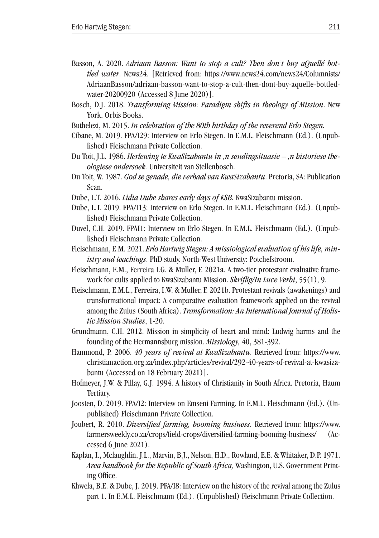- Basson, A. 2020. *Adriaan Basson: Want to stop a cult? Then don't buy aQuellé bottled water*. News24. [Retrieved from: https://www.news24.com/news24/Columnists/ AdriaanBasson/adriaan-basson-want-to-stop-a-cult-then-dont-buy-aquelle-bottledwater-20200920 (Accessed 8 June 2020)].
- Bosch, D.J. 2018. *Transforming Mission: Paradigm shifts in theology of Mission*. New York, Orbis Books.
- Buthelezi, M. 2015. *In celebration of the 80th birthday of the reverend Erlo Stegen.*
- Cibane, M. 2019. FPA/I29: Interview on Erlo Stegen. In E.M.L. Fleischmann (Ed.). (Unpublished) Fleischmann Private Collection.
- Du Toit, J.L. 1986. *Herlewing te KwaSizabantu in 'n sendingsituasie 'n historiese theologiese ondersoek.* Universiteit van Stellenbosch.
- Du Toit, W. 1987. *God se genade, die verhaal van KwaSizabantu*. Pretoria, SA: Publication Scan.
- Dube, L.T. 2016. *Lidia Dube shares early days of KSB.* KwaSizabantu mission.
- Dube, L.T. 2019. FPA/I13: Interview on Erlo Stegen. In E.M.L. Fleischmann (Ed.). (Unpublished) Fleischmann Private Collection.
- Duvel, C.H. 2019. FPAI1: Interview on Erlo Stegen. In E.M.L. Fleischmann (Ed.). (Unpublished) Fleischmann Private Collection.
- Fleischmann, E.M. 2021. *Erlo Hartwig Stegen: A missiological evaluation of his life, ministry and teachings*. PhD study. North-West University: Potchefstroom.
- Fleischmann, E.M., Ferreira I.G. & Muller, F. 2021a. A two-tier protestant evaluative framework for cults applied to KwaSizabantu Mission. *Skriflig/In Luce Verbi*, 55(1), 9.
- Fleischmann, E.M.L., Ferreira, I.W. & Muller, F. 2021b. Protestant revivals (awakenings) and transformational impact: A comparative evaluation framework applied on the revival among the Zulus (South Africa). *Transformation: An International Journal of Holistic Mission Studies*, 1-20.
- Grundmann, C.H. 2012. Mission in simplicity of heart and mind: Ludwig harms and the founding of the Hermannsburg mission. *Missiology,* 40, 381-392.
- Hammond, P. 2006. *40 years of revival at KwaSizabantu.* Retrieved from: https://www. christianaction.org.za/index.php/articles/revival/292-40-years-of-revival-at-kwasizabantu (Accessed on 18 February 2021)].
- Hofmeyer, J.W. & Pillay, G.J. 1994. A history of Christianity in South Africa. Pretoria, Haum Tertiary.
- Joosten, D. 2019. FPA/I2: Interview on Emseni Farming. In E.M.L. Fleischmann (Ed.). (Unpublished) Fleischmann Private Collection.
- Joubert, R. 2010. *Diversified farming, booming business.* Retrieved from: https://www. farmersweekly.co.za/crops/field-crops/diversified-farming-booming-business/ (Accessed 6 June 2021).
- Kaplan, I., Mclaughlin, J.L., Marvin, B.J., Nelson, H.D., Rowland, E.E. & Whitaker, D.P. 1971. *Area handbook for the Republic of South Africa,* Washington, U.S. Government Printing Office.
- Khwela, B.E. & Dube, J. 2019. PFA/I8: Interview on the history of the revival among the Zulus part 1. In E.M.L. Fleischmann (Ed.). (Unpublished) Fleischmann Private Collection.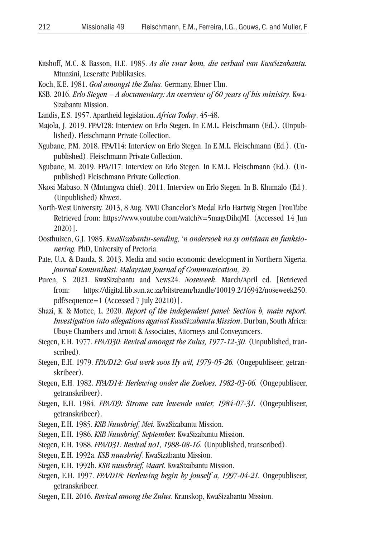- Kitshoff, M.C. & Basson, H.E. 1985. *As die vuur kom, die verhaal van KwaSizabantu.* Mtunzini, Leseratte Publikasies.
- Koch, K.E. 1981. *God amongst the Zulus.* Germany, Ebner Ulm.
- KSB. 2016. *Erlo Stegen A documentary: An overview of 60 years of his ministry.* Kwa-Sizabantu Mission.
- Landis, E.S. 1957. Apartheid legislation. *Africa Today*, 45-48.
- Majola, J. 2019. FPA/I28: Interview on Erlo Stegen. In E.M.L. Fleischmann (Ed.). (Unpublished). Fleischmann Private Collection.
- Ngubane, P.M. 2018. FPA/I14: Interview on Erlo Stegen. In E.M.L. Fleischmann (Ed.). (Unpublished). Fleischmann Private Collection.
- Ngubane, M. 2019. FPA/I17: Interview on Erlo Stegen. In E.M.L. Fleischmann (Ed.). (Unpublished) Fleischmann Private Collection.
- Nkosi Mabaso, N (Mntungwa chief). 2011. Interview on Erlo Stegen. In B. Khumalo (Ed.). (Unpublished) Khwezi.
- North-West University. 2013, 8 Aug. NWU Chancelor's Medal Erlo Hartwig Stegen [YouTube Retrieved from: https://www.youtube.com/watch?v=5magvDihqMI. (Accessed 14 Jun 2020)].
- Oosthuizen, G.J. 1985. *KwaSizabantu-sending, 'n ondersoek na sy ontstaan en funksionering.* PhD, University of Pretoria.
- Pate, U.A. & Dauda, S. 2013. Media and socio economic development in Northern Nigeria. *Journal Komunikasi: Malaysian Journal of Communication,* 29.
- Puren, S. 2021. KwaSizabantu and News24. *Noseweek*. March/April ed. [Retrieved from: https://digital.lib.sun.ac.za/bitstream/handle/10019.2/16942/noseweek250. pdf?sequence=1 (Accessed 7 July 20210)].
- Shazi, K. & Mottee, L. 2020. *Report of the independent panel: Section b, main report. Investigation into allegations against KwaSizabantu Mission*. Durban, South Africa: Ubuye Chambers and Arnott & Associates, Attorneys and Conveyancers.
- Stegen, E.H. 1977. *FPA/D30: Revival amongst the Zulus, 1977-12-30.* (Unpublished, transcribed).
- Stegen, E.H. 1979. *FPA/D12: God werk soos Hy wil, 1979-05-26.* (Ongepubliseer, getranskribeer).
- Stegen, E.H. 1982. *FPA/D14: Herlewing onder die Zoeloes, 1982-03-06.* (Ongepubliseer, getranskribeer).
- Stegen, E.H. 1984. *FPA/D9: Strome van lewende water, 1984-07-31.* (Ongepubliseer, getranskribeer).
- Stegen, E.H. 1985. *KSB Nuusbrief, Mei.* KwaSizabantu Mission.
- Stegen, E.H. 1986. *KSB Nuusbrief, September.* KwaSizabantu Mission.
- Stegen, E.H. 1988. *FPA/D31: Revival no1, 1988-08-16.* (Unpublished, transcribed).
- Stegen, E.H. 1992a. *KSB nuusbrief.* KwaSizabantu Mission.
- Stegen, E.H. 1992b. *KSB nuusbrief, Maart.* KwaSizabantu Mission.
- Stegen, E.H. 1997. *FPA/D18: Herlewing begin by jouself a, 1997-04-21.* Ongepubliseer, getranskribeer.
- Stegen, E.H. 2016. *Revival among the Zulus.* Kranskop, KwaSizabantu Mission.